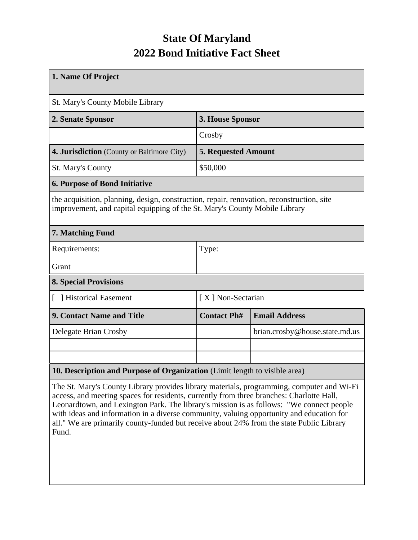## **State Of Maryland 2022 Bond Initiative Fact Sheet**

| 1. Name Of Project                                                                                                                                                      |                            |                                |  |  |  |
|-------------------------------------------------------------------------------------------------------------------------------------------------------------------------|----------------------------|--------------------------------|--|--|--|
| St. Mary's County Mobile Library                                                                                                                                        |                            |                                |  |  |  |
| 2. Senate Sponsor                                                                                                                                                       | 3. House Sponsor           |                                |  |  |  |
|                                                                                                                                                                         | Crosby                     |                                |  |  |  |
| 4. Jurisdiction (County or Baltimore City)                                                                                                                              | <b>5. Requested Amount</b> |                                |  |  |  |
| <b>St. Mary's County</b>                                                                                                                                                | \$50,000                   |                                |  |  |  |
| <b>6. Purpose of Bond Initiative</b>                                                                                                                                    |                            |                                |  |  |  |
| the acquisition, planning, design, construction, repair, renovation, reconstruction, site<br>improvement, and capital equipping of the St. Mary's County Mobile Library |                            |                                |  |  |  |
| 7. Matching Fund                                                                                                                                                        |                            |                                |  |  |  |
| Requirements:                                                                                                                                                           | Type:                      |                                |  |  |  |
| Grant                                                                                                                                                                   |                            |                                |  |  |  |
| <b>8. Special Provisions</b>                                                                                                                                            |                            |                                |  |  |  |
| [ ] Historical Easement                                                                                                                                                 | [X] Non-Sectarian          |                                |  |  |  |
| <b>9. Contact Name and Title</b>                                                                                                                                        | <b>Contact Ph#</b>         | <b>Email Address</b>           |  |  |  |
| Delegate Brian Crosby                                                                                                                                                   |                            | brian.crosby@house.state.md.us |  |  |  |
|                                                                                                                                                                         |                            |                                |  |  |  |
|                                                                                                                                                                         |                            |                                |  |  |  |
| 10. Description and Purpose of Organization (Limit length to visible area)                                                                                              |                            |                                |  |  |  |

The St. Mary's County Library provides library materials, programming, computer and Wi-Fi access, and meeting spaces for residents, currently from three branches: Charlotte Hall, Leonardtown, and Lexington Park. The library's mission is as follows: "We connect people with ideas and information in a diverse community, valuing opportunity and education for all." We are primarily county-funded but receive about 24% from the state Public Library Fund.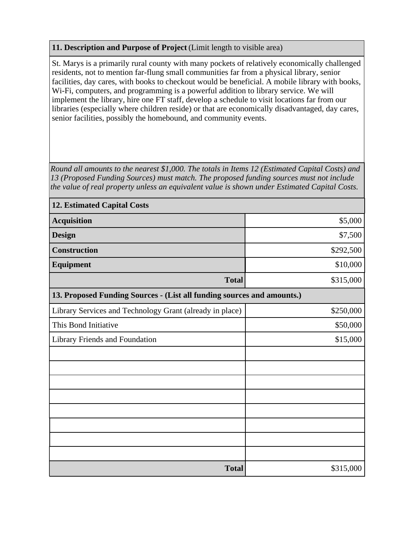## **11. Description and Purpose of Project** (Limit length to visible area)

St. Marys is a primarily rural county with many pockets of relatively economically challenged residents, not to mention far-flung small communities far from a physical library, senior facilities, day cares, with books to checkout would be beneficial. A mobile library with books, Wi-Fi, computers, and programming is a powerful addition to library service. We will implement the library, hire one FT staff, develop a schedule to visit locations far from our libraries (especially where children reside) or that are economically disadvantaged, day cares, senior facilities, possibly the homebound, and community events.

*Round all amounts to the nearest \$1,000. The totals in Items 12 (Estimated Capital Costs) and 13 (Proposed Funding Sources) must match. The proposed funding sources must not include the value of real property unless an equivalent value is shown under Estimated Capital Costs.*

| <b>12. Estimated Capital Costs</b>                                     |           |  |  |  |  |
|------------------------------------------------------------------------|-----------|--|--|--|--|
| <b>Acquisition</b>                                                     | \$5,000   |  |  |  |  |
| <b>Design</b>                                                          | \$7,500   |  |  |  |  |
| <b>Construction</b>                                                    | \$292,500 |  |  |  |  |
| Equipment                                                              | \$10,000  |  |  |  |  |
| <b>Total</b>                                                           | \$315,000 |  |  |  |  |
| 13. Proposed Funding Sources - (List all funding sources and amounts.) |           |  |  |  |  |
| Library Services and Technology Grant (already in place)               | \$250,000 |  |  |  |  |
| This Bond Initiative                                                   | \$50,000  |  |  |  |  |
| Library Friends and Foundation                                         | \$15,000  |  |  |  |  |
|                                                                        |           |  |  |  |  |
|                                                                        |           |  |  |  |  |
|                                                                        |           |  |  |  |  |
|                                                                        |           |  |  |  |  |
|                                                                        |           |  |  |  |  |
|                                                                        |           |  |  |  |  |
|                                                                        |           |  |  |  |  |
|                                                                        |           |  |  |  |  |
| <b>Total</b>                                                           | \$315,000 |  |  |  |  |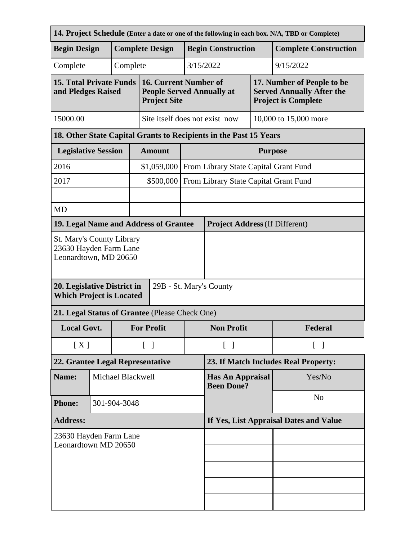| 14. Project Schedule (Enter a date or one of the following in each box. N/A, TBD or Complete) |                                |  |                                        |                                                                                  |  |                                                                   |                                       |                                                                                              |  |
|-----------------------------------------------------------------------------------------------|--------------------------------|--|----------------------------------------|----------------------------------------------------------------------------------|--|-------------------------------------------------------------------|---------------------------------------|----------------------------------------------------------------------------------------------|--|
| <b>Begin Design</b>                                                                           |                                |  |                                        | <b>Complete Design</b>                                                           |  | <b>Begin Construction</b>                                         |                                       | <b>Complete Construction</b>                                                                 |  |
| Complete                                                                                      |                                |  | Complete                               |                                                                                  |  | 3/15/2022<br>9/15/2022                                            |                                       |                                                                                              |  |
| <b>15. Total Private Funds</b><br>and Pledges Raised                                          |                                |  |                                        | 16. Current Number of<br><b>People Served Annually at</b><br><b>Project Site</b> |  |                                                                   |                                       | 17. Number of People to be<br><b>Served Annually After the</b><br><b>Project is Complete</b> |  |
| 15000.00                                                                                      | Site itself does not exist now |  |                                        |                                                                                  |  |                                                                   | 10,000 to 15,000 more                 |                                                                                              |  |
|                                                                                               |                                |  |                                        |                                                                                  |  | 18. Other State Capital Grants to Recipients in the Past 15 Years |                                       |                                                                                              |  |
| <b>Legislative Session</b>                                                                    |                                |  |                                        | <b>Amount</b>                                                                    |  | <b>Purpose</b>                                                    |                                       |                                                                                              |  |
| 2016                                                                                          |                                |  |                                        | \$1,059,000                                                                      |  | From Library State Capital Grant Fund                             |                                       |                                                                                              |  |
| 2017                                                                                          |                                |  |                                        | \$500,000                                                                        |  |                                                                   | From Library State Capital Grant Fund |                                                                                              |  |
|                                                                                               |                                |  |                                        |                                                                                  |  |                                                                   |                                       |                                                                                              |  |
| <b>MD</b>                                                                                     |                                |  |                                        |                                                                                  |  |                                                                   |                                       |                                                                                              |  |
| 19. Legal Name and Address of Grantee                                                         |                                |  |                                        |                                                                                  |  | <b>Project Address (If Different)</b>                             |                                       |                                                                                              |  |
| St. Mary's County Library<br>23630 Hayden Farm Lane<br>Leonardtown, MD 20650                  |                                |  |                                        |                                                                                  |  |                                                                   |                                       |                                                                                              |  |
| 20. Legislative District in<br>29B - St. Mary's County<br><b>Which Project is Located</b>     |                                |  |                                        |                                                                                  |  |                                                                   |                                       |                                                                                              |  |
| 21. Legal Status of Grantee (Please Check One)                                                |                                |  |                                        |                                                                                  |  |                                                                   |                                       |                                                                                              |  |
| <b>Local Govt.</b>                                                                            |                                |  |                                        | <b>For Profit</b>                                                                |  | <b>Non Profit</b>                                                 |                                       | Federal                                                                                      |  |
| [X]                                                                                           |                                |  |                                        | $\begin{bmatrix} 1 \end{bmatrix}$                                                |  | $\lceil \; \rceil$                                                |                                       | $\lceil \; \rceil$                                                                           |  |
| 22. Grantee Legal Representative                                                              |                                |  | 23. If Match Includes Real Property:   |                                                                                  |  |                                                                   |                                       |                                                                                              |  |
| Name:                                                                                         | Michael Blackwell              |  |                                        | <b>Has An Appraisal</b><br><b>Been Done?</b>                                     |  | Yes/No                                                            |                                       |                                                                                              |  |
| <b>Phone:</b>                                                                                 | 301-904-3048                   |  |                                        |                                                                                  |  |                                                                   | N <sub>o</sub>                        |                                                                                              |  |
| <b>Address:</b>                                                                               |                                |  | If Yes, List Appraisal Dates and Value |                                                                                  |  |                                                                   |                                       |                                                                                              |  |
| 23630 Hayden Farm Lane<br>Leonardtown MD 20650                                                |                                |  |                                        |                                                                                  |  |                                                                   |                                       |                                                                                              |  |
|                                                                                               |                                |  |                                        |                                                                                  |  |                                                                   |                                       |                                                                                              |  |
|                                                                                               |                                |  |                                        |                                                                                  |  |                                                                   |                                       |                                                                                              |  |
|                                                                                               |                                |  |                                        |                                                                                  |  |                                                                   |                                       |                                                                                              |  |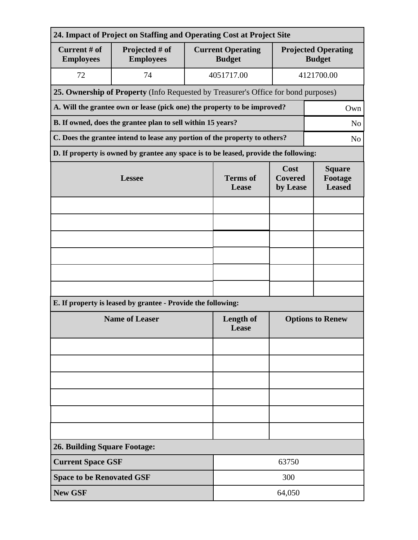| 24. Impact of Project on Staffing and Operating Cost at Project Site |                                                                                      |                          |                                           |                                             |                |  |  |  |
|----------------------------------------------------------------------|--------------------------------------------------------------------------------------|--------------------------|-------------------------------------------|---------------------------------------------|----------------|--|--|--|
| Current # of<br><b>Employees</b>                                     | Projected # of<br><b>Employees</b>                                                   |                          | <b>Current Operating</b><br><b>Budget</b> | <b>Projected Operating</b><br><b>Budget</b> |                |  |  |  |
| 72                                                                   | 74                                                                                   |                          | 4051717.00                                |                                             | 4121700.00     |  |  |  |
|                                                                      | 25. Ownership of Property (Info Requested by Treasurer's Office for bond purposes)   |                          |                                           |                                             |                |  |  |  |
|                                                                      | A. Will the grantee own or lease (pick one) the property to be improved?             |                          |                                           | Own                                         |                |  |  |  |
|                                                                      | B. If owned, does the grantee plan to sell within 15 years?<br>N <sub>o</sub>        |                          |                                           |                                             |                |  |  |  |
|                                                                      | C. Does the grantee intend to lease any portion of the property to others?           |                          |                                           |                                             | N <sub>o</sub> |  |  |  |
|                                                                      | D. If property is owned by grantee any space is to be leased, provide the following: |                          |                                           |                                             |                |  |  |  |
|                                                                      | <b>Lessee</b>                                                                        | <b>Terms</b> of<br>Lease | Cost<br><b>Covered</b><br>by Lease        | <b>Square</b><br>Footage<br><b>Leased</b>   |                |  |  |  |
|                                                                      |                                                                                      |                          |                                           |                                             |                |  |  |  |
|                                                                      |                                                                                      |                          |                                           |                                             |                |  |  |  |
|                                                                      |                                                                                      |                          |                                           |                                             |                |  |  |  |
|                                                                      |                                                                                      |                          |                                           |                                             |                |  |  |  |
|                                                                      |                                                                                      |                          |                                           |                                             |                |  |  |  |
|                                                                      |                                                                                      |                          |                                           |                                             |                |  |  |  |
|                                                                      | E. If property is leased by grantee - Provide the following:                         |                          |                                           |                                             |                |  |  |  |
| <b>Name of Leaser</b>                                                |                                                                                      |                          | <b>Length of</b><br>Lease                 | <b>Options to Renew</b>                     |                |  |  |  |
|                                                                      |                                                                                      |                          |                                           |                                             |                |  |  |  |
|                                                                      |                                                                                      |                          |                                           |                                             |                |  |  |  |
|                                                                      |                                                                                      |                          |                                           |                                             |                |  |  |  |
|                                                                      |                                                                                      |                          |                                           |                                             |                |  |  |  |
|                                                                      |                                                                                      |                          |                                           |                                             |                |  |  |  |
|                                                                      |                                                                                      |                          |                                           |                                             |                |  |  |  |
| <b>26. Building Square Footage:</b>                                  |                                                                                      |                          |                                           |                                             |                |  |  |  |
| <b>Current Space GSF</b>                                             |                                                                                      |                          | 63750                                     |                                             |                |  |  |  |
| <b>Space to be Renovated GSF</b>                                     |                                                                                      | 300                      |                                           |                                             |                |  |  |  |
| <b>New GSF</b>                                                       |                                                                                      |                          | 64,050                                    |                                             |                |  |  |  |